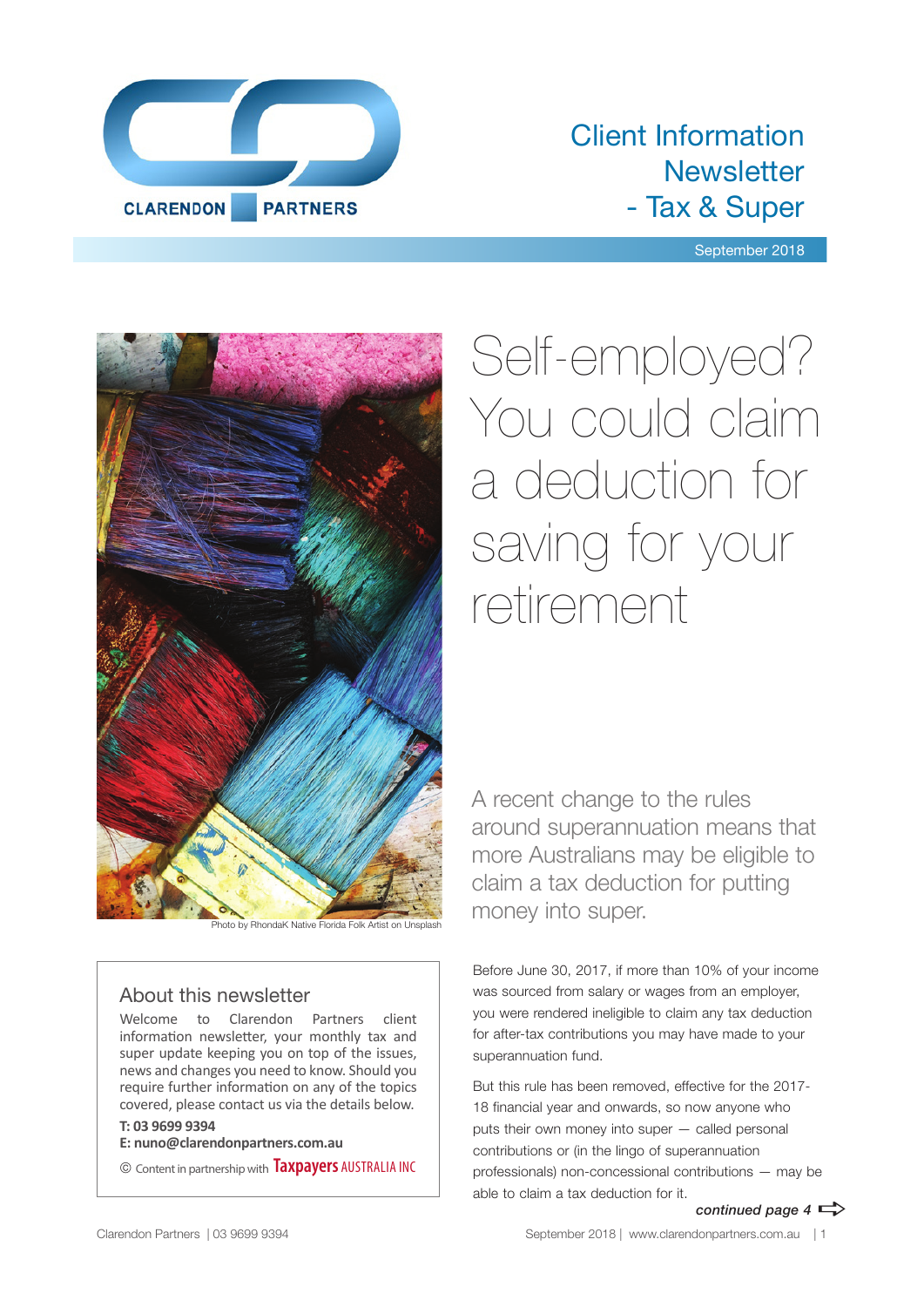

### Client Information **Newsletter** - Tax & Super

September 2018



Photo by RhondaK Native Florida Folk Artist on Unsplash

#### About this newsletter

Welcome to Clarendon Partners client information newsletter, your monthly tax and super update keeping you on top of the issues, news and changes you need to know. Should you require further information on any of the topics covered, please contact us via the details below.

#### **T: 03 9699 9394**

**E: nuno@clarendonpartners.com.au**

© Content in partnership with **Taxpayers** AUSTRALIA INC

Self-employed? You could claim a deduction for saving for your retirement

A recent change to the rules around superannuation means that more Australians may be eligible to claim a tax deduction for putting money into super.

Before June 30, 2017, if more than 10% of your income was sourced from salary or wages from an employer, you were rendered ineligible to claim any tax deduction for after-tax contributions you may have made to your superannuation fund.

But this rule has been removed, effective for the 2017- 18 financial year and onwards, so now anyone who puts their own money into super — called personal contributions or (in the lingo of superannuation professionals) non-concessional contributions — may be able to claim a tax deduction for it.

*continued page 4*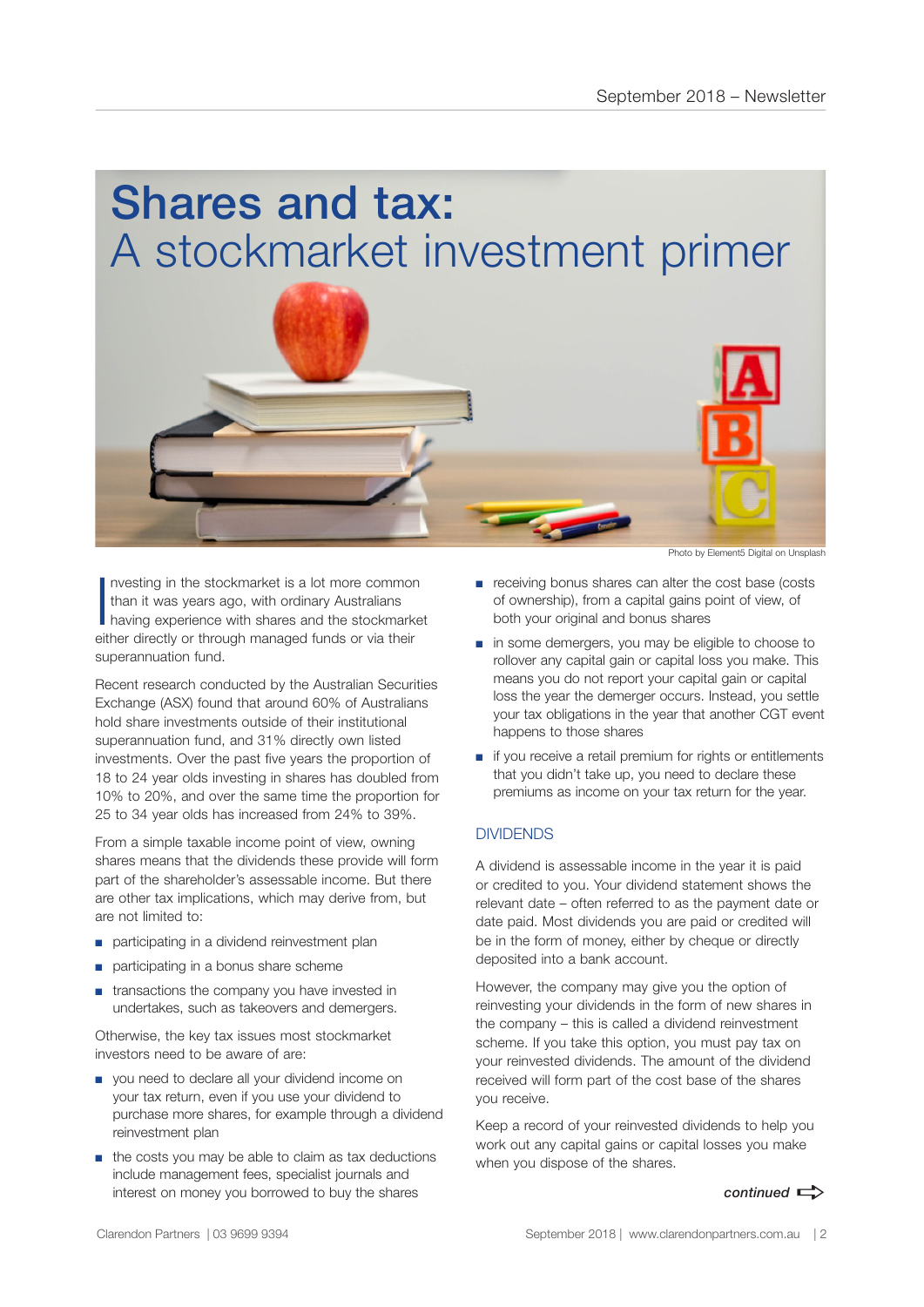# Shares and tax: A stockmarket investment primer



I nvesting in the stockmarket is a lot more common than it was years ago, with ordinary Australians having experience with shares and the stockmarket either directly or through managed funds or via their superannuation fund.

Recent research conducted by the Australian Securities Exchange (ASX) found that around 60% of Australians hold share investments outside of their institutional superannuation fund, and 31% directly own listed investments. Over the past five years the proportion of 18 to 24 year olds investing in shares has doubled from 10% to 20%, and over the same time the proportion for 25 to 34 year olds has increased from 24% to 39%.

From a simple taxable income point of view, owning shares means that the dividends these provide will form part of the shareholder's assessable income. But there are other tax implications, which may derive from, but are not limited to:

- participating in a dividend reinvestment plan
- participating in a bonus share scheme
- transactions the company you have invested in undertakes, such as takeovers and demergers.

Otherwise, the key tax issues most stockmarket investors need to be aware of are:

- you need to declare all your dividend income on your tax return, even if you use your dividend to purchase more shares, for example through a dividend reinvestment plan
- the costs you may be able to claim as tax deductions include management fees, specialist journals and interest on money you borrowed to buy the shares

Photo by Element5 Digital on Unsplash

- receiving bonus shares can alter the cost base (costs of ownership), from a capital gains point of view, of both your original and bonus shares
- in some demergers, you may be eligible to choose to rollover any capital gain or capital loss you make. This means you do not report your capital gain or capital loss the year the demerger occurs. Instead, you settle your tax obligations in the year that another CGT event happens to those shares
- if you receive a retail premium for rights or entitlements that you didn't take up, you need to declare these premiums as income on your tax return for the year.

#### **DIVIDENDS**

A dividend is assessable income in the year it is paid or credited to you. Your dividend statement shows the relevant date – often referred to as the payment date or date paid. Most dividends you are paid or credited will be in the form of money, either by cheque or directly deposited into a bank account.

However, the company may give you the option of reinvesting your dividends in the form of new shares in the company – this is called a dividend reinvestment scheme. If you take this option, you must pay tax on your reinvested dividends. The amount of the dividend received will form part of the cost base of the shares you receive.

Keep a record of your reinvested dividends to help you work out any capital gains or capital losses you make when you dispose of the shares.

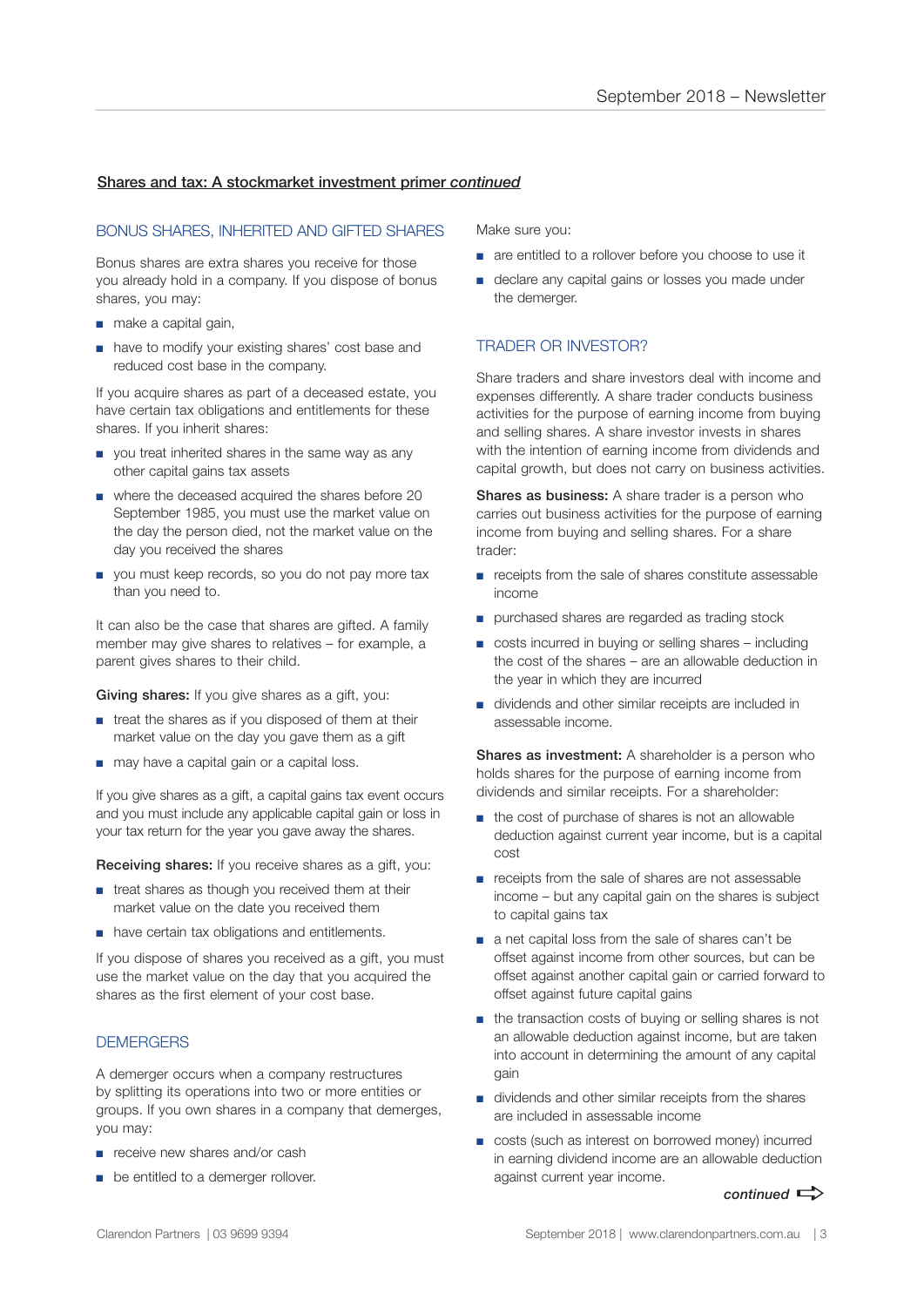#### Shares and tax: A stockmarket investment primer *continued*

#### BONUS SHARES, INHERITED AND GIFTED SHARES

Bonus shares are extra shares you receive for those you already hold in a company. If you dispose of bonus shares, you may:

- make a capital gain,
- have to modify your existing shares' cost base and reduced cost base in the company.

If you acquire shares as part of a deceased estate, you have certain tax obligations and entitlements for these shares. If you inherit shares:

- you treat inherited shares in the same way as any other capital gains tax assets
- where the deceased acquired the shares before 20 September 1985, you must use the market value on the day the person died, not the market value on the day you received the shares
- you must keep records, so you do not pay more tax than you need to.

It can also be the case that shares are gifted. A family member may give shares to relatives – for example, a parent gives shares to their child.

Giving shares: If you give shares as a gift, you:

- treat the shares as if you disposed of them at their market value on the day you gave them as a gift
- may have a capital gain or a capital loss.

If you give shares as a gift, a capital gains tax event occurs and you must include any applicable capital gain or loss in your tax return for the year you gave away the shares.

Receiving shares: If you receive shares as a gift, you:

- treat shares as though you received them at their market value on the date you received them
- have certain tax obligations and entitlements.

If you dispose of shares you received as a gift, you must use the market value on the day that you acquired the shares as the first element of your cost base.

#### **DEMERGERS**

A demerger occurs when a company restructures by splitting its operations into two or more entities or groups. If you own shares in a company that demerges, you may:

- receive new shares and/or cash
- be entitled to a demerger rollover.

Make sure you:

- are entitled to a rollover before you choose to use it
- declare any capital gains or losses you made under the demerger.

#### TRADER OR INVESTOR?

Share traders and share investors deal with income and expenses differently. A share trader conducts business activities for the purpose of earning income from buying and selling shares. A share investor invests in shares with the intention of earning income from dividends and capital growth, but does not carry on business activities.

Shares as business: A share trader is a person who carries out business activities for the purpose of earning income from buying and selling shares. For a share trader:

- receipts from the sale of shares constitute assessable income
- purchased shares are regarded as trading stock
- costs incurred in buying or selling shares including the cost of the shares – are an allowable deduction in the year in which they are incurred
- dividends and other similar receipts are included in assessable income.

Shares as investment: A shareholder is a person who holds shares for the purpose of earning income from dividends and similar receipts. For a shareholder:

- the cost of purchase of shares is not an allowable deduction against current year income, but is a capital cost
- receipts from the sale of shares are not assessable income – but any capital gain on the shares is subject to capital gains tax
- a net capital loss from the sale of shares can't be offset against income from other sources, but can be offset against another capital gain or carried forward to offset against future capital gains
- the transaction costs of buying or selling shares is not an allowable deduction against income, but are taken into account in determining the amount of any capital gain
- dividends and other similar receipts from the shares are included in assessable income
- costs (such as interest on borrowed money) incurred in earning dividend income are an allowable deduction against current year income.

 $control \implies$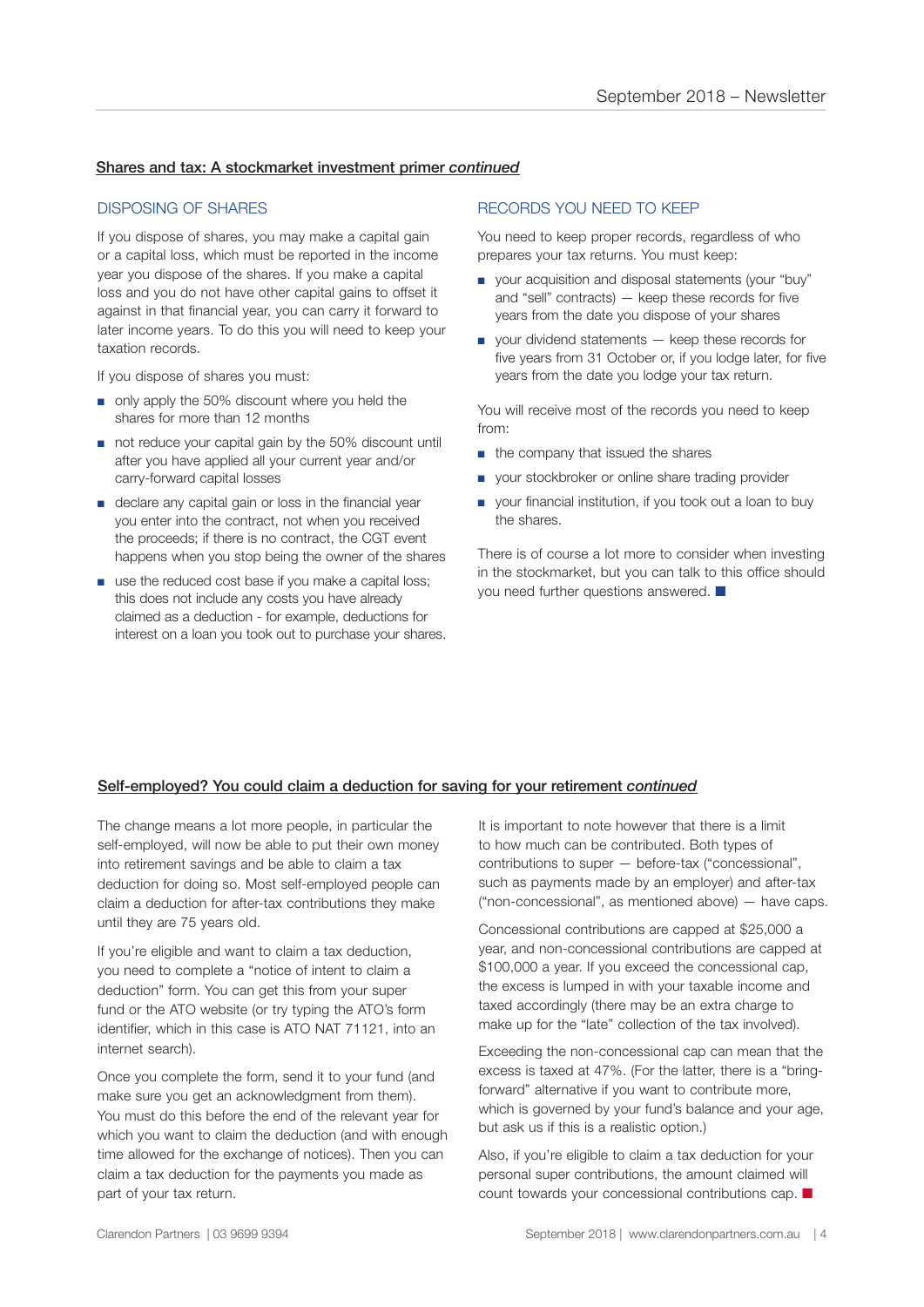#### Shares and tax: A stockmarket investment primer *continued*

#### DISPOSING OF SHARES

If you dispose of shares, you may make a capital gain or a capital loss, which must be reported in the income year you dispose of the shares. If you make a capital loss and you do not have other capital gains to offset it against in that financial year, you can carry it forward to later income years. To do this you will need to keep your taxation records.

If you dispose of shares you must:

- only apply the 50% discount where you held the shares for more than 12 months
- not reduce your capital gain by the 50% discount until after you have applied all your current year and/or carry-forward capital losses
- declare any capital gain or loss in the financial year you enter into the contract, not when you received the proceeds; if there is no contract, the CGT event happens when you stop being the owner of the shares
- use the reduced cost base if you make a capital loss; this does not include any costs you have already claimed as a deduction - for example, deductions for interest on a loan you took out to purchase your shares.

#### RECORDS YOU NEED TO KEEP

You need to keep proper records, regardless of who prepares your tax returns. You must keep:

- your acquisition and disposal statements (your "buy" and "sell" contracts) — keep these records for five years from the date you dispose of your shares
- your dividend statements keep these records for five years from 31 October or, if you lodge later, for five years from the date you lodge your tax return.

You will receive most of the records you need to keep from:

- the company that issued the shares
- your stockbroker or online share trading provider
- your financial institution, if you took out a loan to buy the shares.

There is of course a lot more to consider when investing in the stockmarket, but you can talk to this office should you need further questions answered.  $\blacksquare$ 

#### Self-employed? You could claim a deduction for saving for your retirement *continued*

The change means a lot more people, in particular the self-employed, will now be able to put their own money into retirement savings and be able to claim a tax deduction for doing so. Most self-employed people can claim a deduction for after-tax contributions they make until they are 75 years old.

If you're eligible and want to claim a tax deduction, you need to complete a "notice of intent to claim a deduction" form. You can get this from your super fund or the ATO website (or try typing the ATO's form identifier, which in this case is ATO NAT 71121, into an internet search).

Once you complete the form, send it to your fund (and make sure you get an acknowledgment from them). You must do this before the end of the relevant year for which you want to claim the deduction (and with enough time allowed for the exchange of notices). Then you can claim a tax deduction for the payments you made as part of your tax return.

It is important to note however that there is a limit to how much can be contributed. Both types of contributions to super — before-tax ("concessional", such as payments made by an employer) and after-tax ("non-concessional", as mentioned above) — have caps.

Concessional contributions are capped at \$25,000 a year, and non-concessional contributions are capped at \$100,000 a year. If you exceed the concessional cap, the excess is lumped in with your taxable income and taxed accordingly (there may be an extra charge to make up for the "late" collection of the tax involved).

Exceeding the non-concessional cap can mean that the excess is taxed at 47%. (For the latter, there is a "bringforward" alternative if you want to contribute more, which is governed by your fund's balance and your age, but ask us if this is a realistic option.)

Also, if you're eligible to claim a tax deduction for your personal super contributions, the amount claimed will count towards your concessional contributions cap.  $\blacksquare$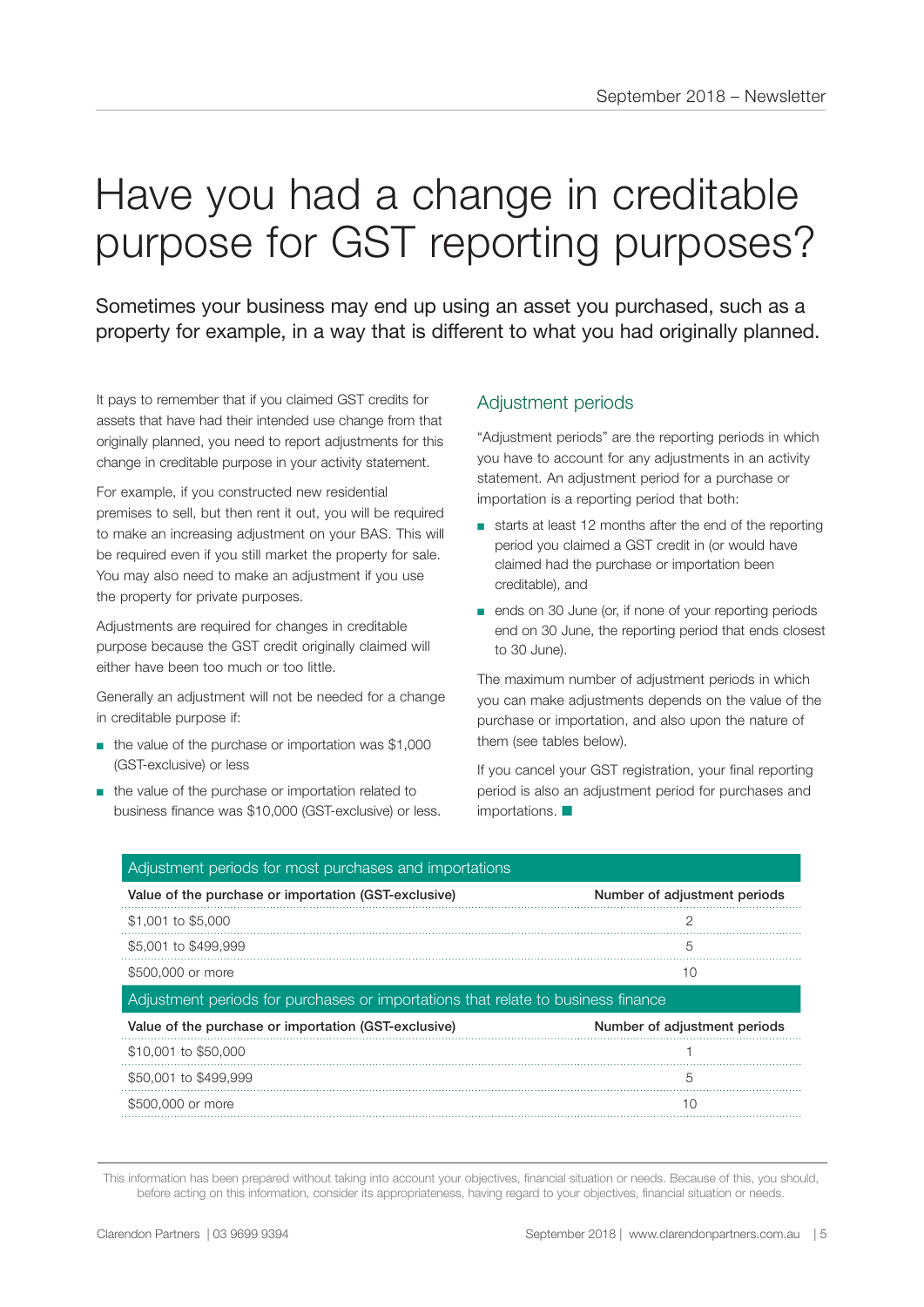## Have you had a change in creditable purpose for GST reporting purposes?

Sometimes your business may end up using an asset you purchased, such as a property for example, in a way that is different to what you had originally planned.

It pays to remember that if you claimed GST credits for assets that have had their intended use change from that originally planned, you need to report adjustments for this change in creditable purpose in your activity statement.

For example, if you constructed new residential premises to sell, but then rent it out, you will be required to make an increasing adjustment on your BAS. This will be required even if you still market the property for sale. You may also need to make an adjustment if you use the property for private purposes.

Adjustments are required for changes in creditable purpose because the GST credit originally claimed will either have been too much or too little.

Generally an adjustment will not be needed for a change in creditable purpose if:

- the value of the purchase or importation was \$1,000 (GST-exclusive) or less
- the value of the purchase or importation related to business finance was \$10,000 (GST-exclusive) or less.

#### Adjustment periods

"Adjustment periods" are the reporting periods in which you have to account for any adjustments in an activity statement. An adjustment period for a purchase or importation is a reporting period that both:

- starts at least 12 months after the end of the reporting period you claimed a GST credit in (or would have claimed had the purchase or importation been creditable), and
- ends on 30 June (or, if none of your reporting periods end on 30 June, the reporting period that ends closest to 30 June).

The maximum number of adjustment periods in which you can make adjustments depends on the value of the purchase or importation, and also upon the nature of them (see tables below).

If you cancel your GST registration, your final reporting period is also an adjustment period for purchases and  $importations.$ 

| Adjustment periods for most purchases and importations                           |                              |
|----------------------------------------------------------------------------------|------------------------------|
| Value of the purchase or importation (GST-exclusive)                             | Number of adjustment periods |
| \$1,001 to \$5,000                                                               |                              |
| \$5,001 to \$499,999                                                             | 5                            |
| \$500,000 or more                                                                | 10                           |
| Adjustment periods for purchases or importations that relate to business finance |                              |
|                                                                                  |                              |
| Value of the purchase or importation (GST-exclusive)                             | Number of adjustment periods |
| \$10,001 to \$50,000                                                             |                              |
| \$50,001 to \$499,999                                                            | 5                            |
| \$500,000 or more                                                                | 10                           |

This information has been prepared without taking into account your objectives, financial situation or needs. Because of this, you should, before acting on this information, consider its appropriateness, having regard to your objectives, financial situation or needs.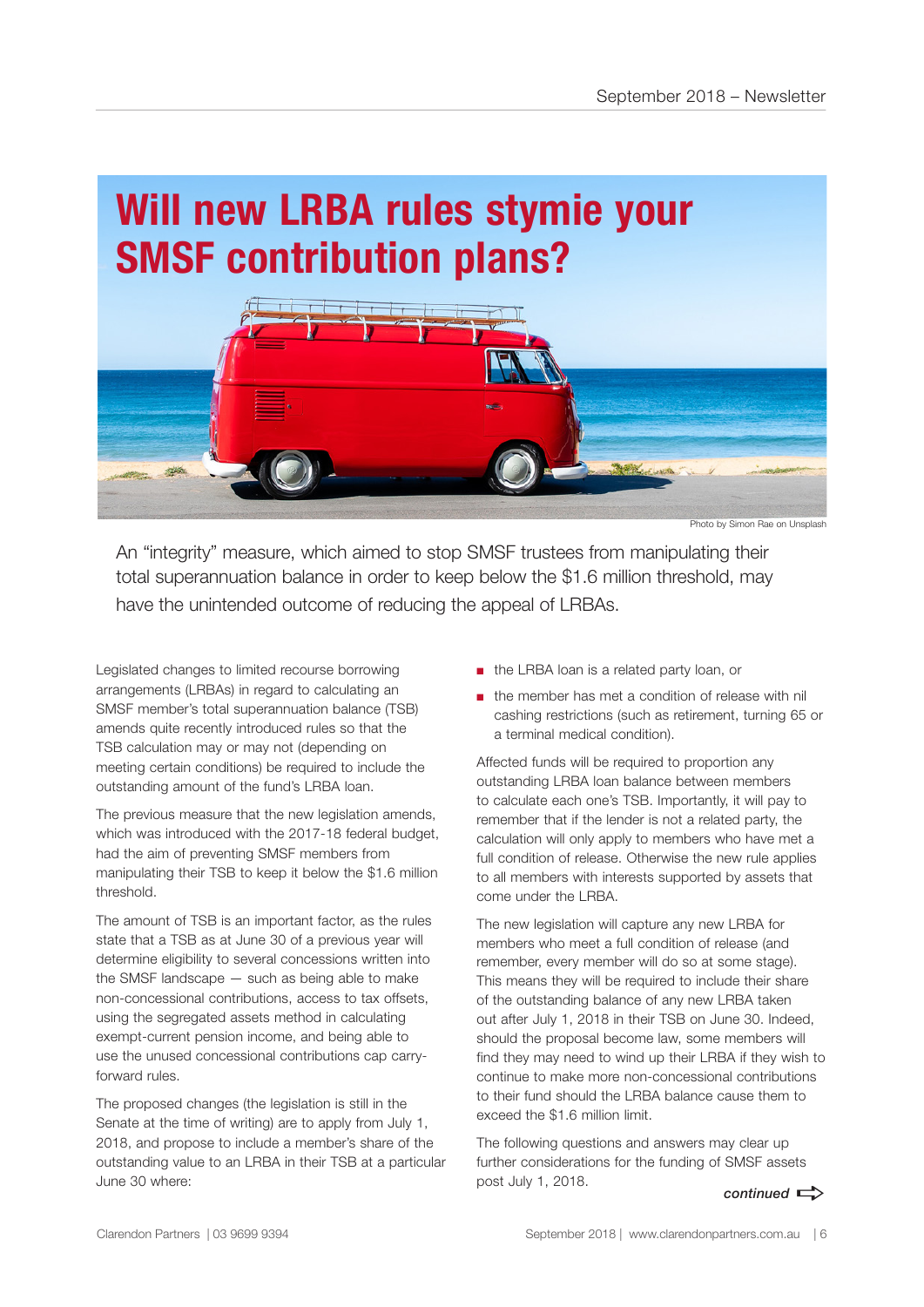### **Will new LRBA rules stymie your SMSF contribution plans?**



Photo by Simon Rae on Unsplash

An "integrity" measure, which aimed to stop SMSF trustees from manipulating their total superannuation balance in order to keep below the \$1.6 million threshold, may have the unintended outcome of reducing the appeal of LRBAs.

Legislated changes to limited recourse borrowing arrangements (LRBAs) in regard to calculating an SMSF member's total superannuation balance (TSB) amends quite recently introduced rules so that the TSB calculation may or may not (depending on meeting certain conditions) be required to include the outstanding amount of the fund's LRBA loan.

The previous measure that the new legislation amends, which was introduced with the 2017-18 federal budget, had the aim of preventing SMSF members from manipulating their TSB to keep it below the \$1.6 million threshold.

The amount of TSB is an important factor, as the rules state that a TSB as at June 30 of a previous year will determine eligibility to several concessions written into the SMSF landscape — such as being able to make non-concessional contributions, access to tax offsets, using the segregated assets method in calculating exempt-current pension income, and being able to use the unused concessional contributions cap carryforward rules.

The proposed changes (the legislation is still in the Senate at the time of writing) are to apply from July 1, 2018, and propose to include a member's share of the outstanding value to an LRBA in their TSB at a particular June 30 where:

- the LRBA loan is a related party loan, or
- the member has met a condition of release with nil cashing restrictions (such as retirement, turning 65 or a terminal medical condition).

Affected funds will be required to proportion any outstanding LRBA loan balance between members to calculate each one's TSB. Importantly, it will pay to remember that if the lender is not a related party, the calculation will only apply to members who have met a full condition of release. Otherwise the new rule applies to all members with interests supported by assets that come under the LRBA.

The new legislation will capture any new LRBA for members who meet a full condition of release (and remember, every member will do so at some stage). This means they will be required to include their share of the outstanding balance of any new LRBA taken out after July 1, 2018 in their TSB on June 30. Indeed, should the proposal become law, some members will find they may need to wind up their LRBA if they wish to continue to make more non-concessional contributions to their fund should the LRBA balance cause them to exceed the \$1.6 million limit.

 $control \implies$ The following questions and answers may clear up further considerations for the funding of SMSF assets post July 1, 2018.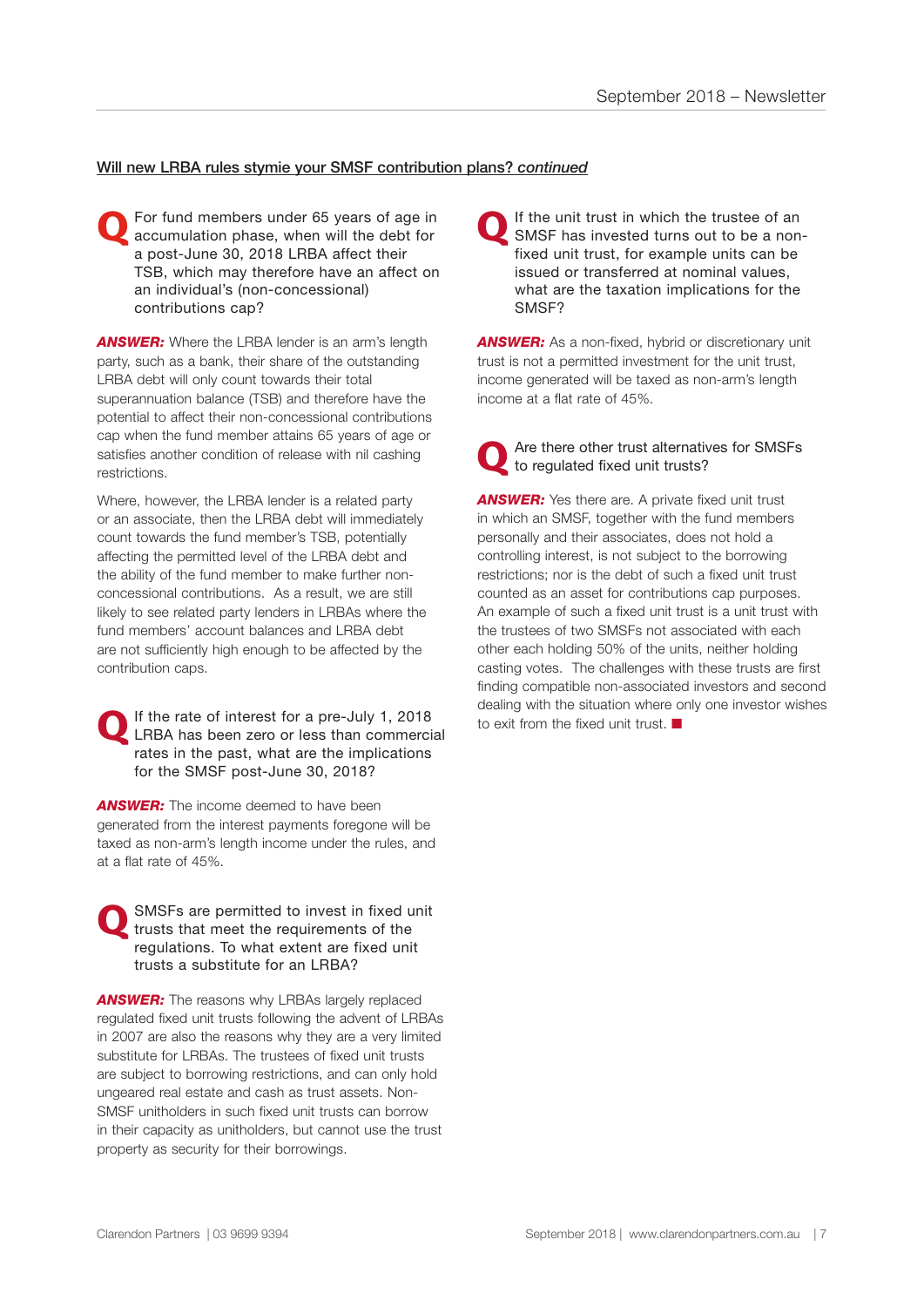#### Will new LRBA rules stymie your SMSF contribution plans? *continued*

For fund members under 65 years of age in accumulation phase, when will the debt for a post-June 30, 2018 LRBA affect their TSB, which may therefore have an affect on an individual's (non-concessional) contributions cap?

**ANSWER:** Where the LRBA lender is an arm's length party, such as a bank, their share of the outstanding LRBA debt will only count towards their total superannuation balance (TSB) and therefore have the potential to affect their non-concessional contributions cap when the fund member attains 65 years of age or satisfies another condition of release with nil cashing restrictions.

Where, however, the LRBA lender is a related party or an associate, then the LRBA debt will immediately count towards the fund member's TSB, potentially affecting the permitted level of the LRBA debt and the ability of the fund member to make further nonconcessional contributions. As a result, we are still likely to see related party lenders in LRBAs where the fund members' account balances and LRBA debt are not sufficiently high enough to be affected by the contribution caps.

**Q** If the rate of interest for a pre-July 1, 2018 LRBA has been zero or less than commercial rates in the past, what are the implications for the SMSF post-June 30, 2018?

**ANSWER:** The income deemed to have been generated from the interest payments foregone will be taxed as non-arm's length income under the rules, and at a flat rate of 45%.

SMSFs are permitted to invest in fixed unit trusts that meet the requirements of the regulations. To what extent are fixed unit trusts a substitute for an LRBA?

**ANSWER:** The reasons why LRBAs largely replaced regulated fixed unit trusts following the advent of LRBAs in 2007 are also the reasons why they are a very limited substitute for LRBAs. The trustees of fixed unit trusts are subject to borrowing restrictions, and can only hold ungeared real estate and cash as trust assets. Non-SMSF unitholders in such fixed unit trusts can borrow in their capacity as unitholders, but cannot use the trust property as security for their borrowings.

**Q** If the unit trust in which the trustee of an SMSF has invested turns out to be a nonfixed unit trust, for example units can be issued or transferred at nominal values, what are the taxation implications for the SMSF?

**ANSWER:** As a non-fixed, hybrid or discretionary unit trust is not a permitted investment for the unit trust, income generated will be taxed as non-arm's length income at a flat rate of 45%.

**Q** Are there other trust alternatives for SMSFs to regulated fixed unit trusts?

**ANSWER:** Yes there are. A private fixed unit trust in which an SMSF, together with the fund members personally and their associates, does not hold a controlling interest, is not subject to the borrowing restrictions; nor is the debt of such a fixed unit trust counted as an asset for contributions cap purposes. An example of such a fixed unit trust is a unit trust with the trustees of two SMSFs not associated with each other each holding 50% of the units, neither holding casting votes. The challenges with these trusts are first finding compatible non-associated investors and second dealing with the situation where only one investor wishes to exit from the fixed unit trust.  $\blacksquare$